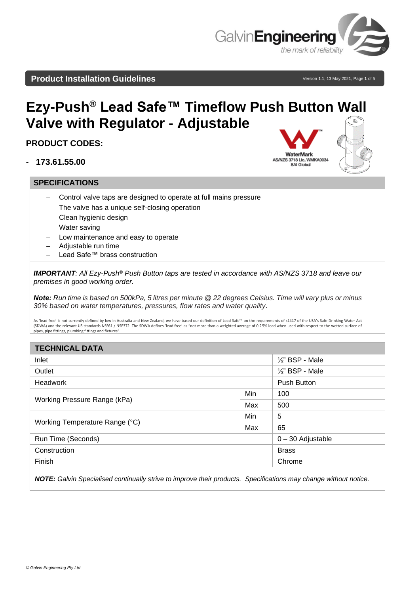

WaterMark

### **Product Installation Guidelines Version 1.1, 13 May 2021, Page 1 of 5 Product**

# **Ezy-Push® Lead Safe™ Timeflow Push Button Wall Valve with Regulator - Adjustable**

## **PRODUCT CODES:**

- **173.61.55.00**

#### **SPECIFICATIONS**



- Control valve taps are designed to operate at full mains pressure
- The valve has a unique self-closing operation
- − Clean hygienic design
- **Water saving**
- Low maintenance and easy to operate
- − Adjustable run time
- − Lead Safe™ brass construction

*IMPORTANT: All Ezy-Push® Push Button taps are tested in accordance with AS/NZS 3718 and leave our premises in good working order.*

*Note: Run time is based on 500kPa, 5 litres per minute @ 22 degrees Celsius. Time will vary plus or minus 30% based on water temperatures, pressures, flow rates and water quality.*

As 'lead free' is not currently defined by low in Australia and New Zealand, we have based our definition of Lead Safe™ on the requirements of s1417 of the USA's Safe Drinking Water Act (SDWA) and the relevant US standards NSF61 / NSF372. The SDWA defines 'lead free' as "not more than a weighted average of 0.25% lead when used with respect to the wetted surface of pipes, pipe fittings, plumbing fittings and fixtures

| <b>TECHNICAL DATA</b>          |     |                            |  |
|--------------------------------|-----|----------------------------|--|
| Inlet                          |     | 1/2" BSP - Male            |  |
| Outlet                         |     | $\frac{1}{2}$ " BSP - Male |  |
| <b>Headwork</b>                |     | Push Button                |  |
| Working Pressure Range (kPa)   | Min | 100                        |  |
|                                | Max | 500                        |  |
| Working Temperature Range (°C) | Min | 5                          |  |
|                                | Max | 65                         |  |
| Run Time (Seconds)             |     | $0 - 30$ Adjustable        |  |
| Construction                   |     | <b>Brass</b>               |  |
| Finish                         |     | Chrome                     |  |
|                                |     |                            |  |

*NOTE: Galvin Specialised continually strive to improve their products. Specifications may change without notice.*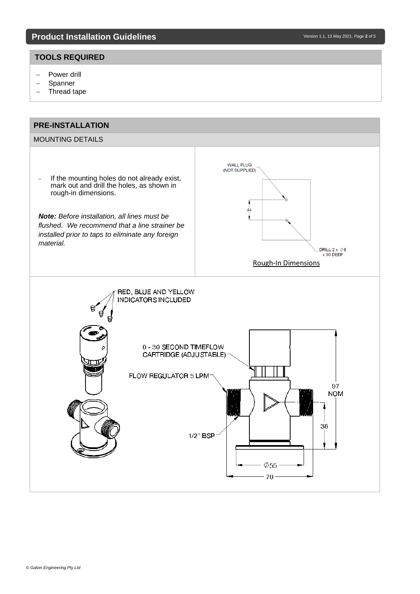#### **TOOLS REQUIRED**

- − Power drill
- − Spanner
- − Thread tape

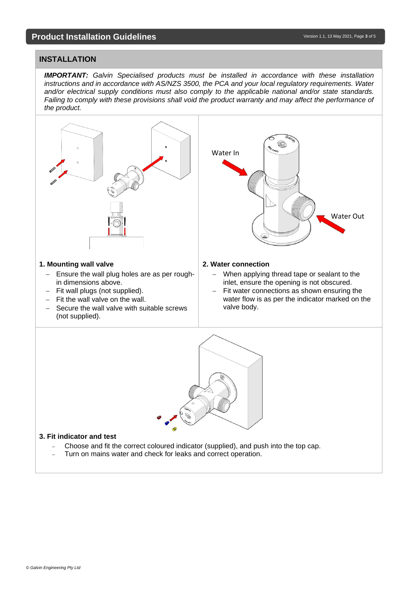#### **INSTALLATION**

**IMPORTANT:** Galvin Specialised products must be installed in accordance with these installation *instructions and in accordance with AS/NZS 3500, the PCA and your local regulatory requirements. Water and/or electrical supply conditions must also comply to the applicable national and/or state standards. Failing to comply with these provisions shall void the product warranty and may affect the performance of the product.*



− Turn on mains water and check for leaks and correct operation.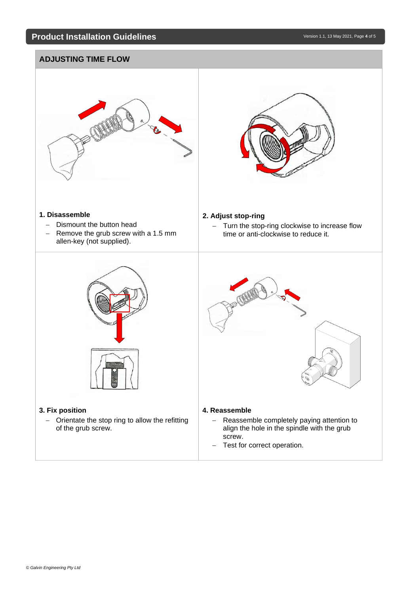# **ADJUSTING TIME FLOW 1. Disassemble** − Dismount the button head − Remove the grub screw with a 1.5 mm allen-key (not supplied). **2. Adjust stop-ring** − Turn the stop-ring clockwise to increase flow time or anti-clockwise to reduce it. **3. Fix position** − Orientate the stop ring to allow the refitting of the grub screw. **4. Reassemble** − Reassemble completely paying attention to align the hole in the spindle with the grub screw. − Test for correct operation.